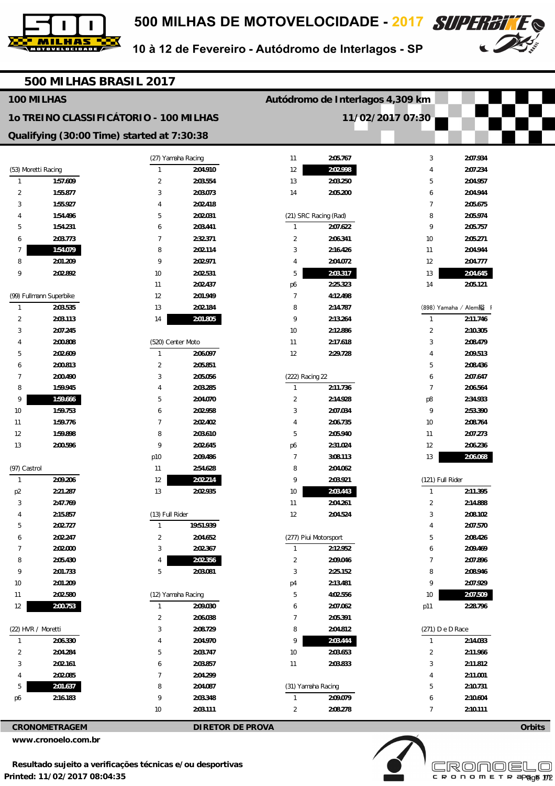



10 à 12 de Fevereiro - Autódromo de Interlagos - SP

| 500 MILHAS BRASIL 2017                     |                         |                    |                                  |                    |                       |                  |                        |               |  |
|--------------------------------------------|-------------------------|--------------------|----------------------------------|--------------------|-----------------------|------------------|------------------------|---------------|--|
| 100 MILHAS                                 |                         |                    | Autódromo de Interlagos 4,309 km |                    |                       |                  |                        |               |  |
| 10 TREINO CLASSIFICÁTORIO - 100 MILHAS     |                         |                    |                                  | 11/02/2017 07:30   |                       |                  |                        |               |  |
| Qualifying (30:00 Time) started at 7:30:38 |                         |                    |                                  |                    |                       |                  |                        |               |  |
|                                            |                         | (27) Yamaha Racing |                                  | 11                 | 2:05.767              | 3                | 2:07.934               |               |  |
|                                            | (53) Moretti Racing     | $\mathbf{1}$       | 2:04.910                         | 12                 | 2:02.998              | 4                | 2:07.234               |               |  |
| $\mathbf{1}$                               | 1:57.609                | $\overline{2}$     | 2:03.554                         | 13                 | 2:03.250              | 5                | 2:04.957               |               |  |
| $\overline{c}$                             | 1:55.877                | 3                  | 2:03.073                         | 14                 | 2:05.200              | 6                | 2:04.944               |               |  |
| 3                                          | 1:55.927                | 4                  | 2:02.418                         |                    |                       | $\overline{7}$   | 2:05.675               |               |  |
|                                            | 1:54.496                | 5                  | 2:02.031                         |                    | (21) SRC Racing (Rad) | 8                | 2:05.974               |               |  |
| 5                                          | 1:54.231                | 6                  | 2:03.441                         | $\mathbf{1}$       | 2:07.622              | 9                | 2:05.757               |               |  |
| 6                                          | 2:03.773                | 7                  | 2:32.371                         | $\overline{2}$     | 2:06.341              | 10               | 2:05.271               |               |  |
| 7                                          | 1:54.079                | 8                  | 2:02.114                         | 3                  | 2:16.426              | 11               | 2:04.944               |               |  |
| 8                                          | 2:01.209                | 9                  | 2:02.971                         | 4                  | 2:04.072              | 12               | 2:04.777               |               |  |
| 9                                          | 2:02.892                | 10                 | 2:02.531                         | 5                  | 2:03.317              | 13               | 2:04.645               |               |  |
|                                            |                         | 11                 | 2:02.437                         | p6                 | 2:25.323              | 14               | 2:05.121               |               |  |
|                                            | (99) Fullmann Superbike | 12                 | 2:01.949                         | $\overline{7}$     | 4:12.498              |                  |                        |               |  |
| $\mathbf{1}$                               | 2:03.535                | 13                 | 2:02.184                         | 8                  | 2:14.787              |                  | (898) Yamaha / Alem縊 I |               |  |
| 2                                          | 2:03.113                | 14                 | 2:01.805                         | 9                  | 2:13.264              | $\mathbf{1}$     | 2:11.746               |               |  |
| 3                                          | 2:07.245                |                    |                                  | 10                 | 2:12.886              | 2                | 2:10.305               |               |  |
| 4                                          | 2:00.808                | (520) Center Moto  |                                  | 11                 | 2:17.618              | 3                | 2:08.479               |               |  |
| 5                                          | 2:02.609                | $\mathbf{1}$       | 2:06.097                         | 12                 | 2:29.728              | 4                | 2:09.513               |               |  |
| 6                                          | 2:00.813                | 2                  | 2:05.851                         |                    |                       | 5                | 2:08.436               |               |  |
| 7                                          | 2:00.490                | 3                  | 2:05.056                         | (222) Racing 22    |                       | 6                | 2:07.647               |               |  |
| 8                                          | 1:59.945                | 4                  | 2:03.285                         | $\mathbf{1}$       | 2:11.736              | $\overline{7}$   | 2:06.564               |               |  |
| 9                                          | 1:59.666                | 5                  | 2:04.070                         | $\overline{2}$     | 2:14.928              | p8               | 2:34.933               |               |  |
| 10                                         | 1:59.753                | 6                  | 2:02.958                         | 3                  | 2:07.034              | 9                | 2:53.390               |               |  |
| 11                                         | 1:59.776                | $\overline{7}$     | 2:02.402                         | $\overline{4}$     | 2:06.735              | 10               | 2:08.764               |               |  |
| 12                                         | 1:59.898                | 8                  | 2:03.610                         | 5                  | 2:05.940              | 11               | 2:07.273               |               |  |
| 13                                         | 2:00.596                | 9                  | 2:02.645                         | p6                 | 2:31.024              | 12               | 2:06.236               |               |  |
|                                            |                         | p10                | 2:09.486                         | $\overline{7}$     | 3:08.113              | 13               | 2:06.068               |               |  |
| (97) Castrol                               |                         | 11                 | 2:54.628                         | 8                  | 2:04.062              |                  |                        |               |  |
| $\mathbf{1}$                               | 2:09.206                | 12                 | 2:02.214                         | 9                  | 2:03.921              | (121) Full Rider |                        |               |  |
| p <sub>2</sub>                             | 2:21.287                | 13                 | 2:02.935                         | 10                 | 2:03.443              | $\mathbf{1}$     | 2:11.395               |               |  |
| 3                                          | 2:47.769                |                    |                                  | 11                 | 2:04.261              | $\overline{2}$   | 2:14.888               |               |  |
|                                            | 2:15.857                | (13) Full Rider    |                                  | 12                 | 2:04.524              | 3                | 2:08.102               |               |  |
| 5                                          | 2:02.727                | $\mathbf{1}$       | 19:51.939                        |                    |                       | 4                | 2:07.570               |               |  |
| 6                                          | 2:02.247                | $\overline{2}$     | 2:04.652                         |                    | (277) Piui Motorsport | 5                | 2:08.426               |               |  |
| 7                                          | 2:02.000                | 3                  | 2:02.367                         | $\mathbf{1}$       | 2:12.952              | 6                | 2:09.469               |               |  |
| 8                                          | 2:05.430                | 4                  | 2:02.356                         | $\overline{2}$     | 2:09.046              | $\overline{7}$   | 2:07.896               |               |  |
| 9                                          | 2:01.733                | 5                  | 2:03.081                         | 3                  | 2:25.152              | 8                | 2:08.946               |               |  |
| 10                                         | 2:01.209                |                    |                                  | p4                 | 2:13.481              | 9                | 2:07.929               |               |  |
| 11                                         | 2:02.580                | (12) Yamaha Racing |                                  | 5                  | 4:02.556              | 10               | 2:07.509               |               |  |
| 12                                         | 2:00.753                | $\mathbf{1}$       | 2:09.030                         | 6                  | 2:07.062              | p11              | 2:28.796               |               |  |
|                                            |                         | $\overline{2}$     | 2:06.038                         | $\overline{7}$     | 2:05.391              |                  |                        |               |  |
|                                            | (22) HVR / Moretti      | 3                  | 2:08.729                         | 8                  | 2:04.812              | (271) D e D Race |                        |               |  |
| $\mathbf{1}$                               | 2:06.330                | 4                  | 2:04.970                         | 9                  | 2:03.444              | $\mathbf{1}$     | 2:14.033               |               |  |
| $\overline{2}$                             | 2:04.284                | 5                  | 2:03.747                         | 10                 | 2:03.653              | $\overline{2}$   | 2:11.966               |               |  |
| 3                                          | 2:02.161                | 6                  | 2:03.857                         | 11                 | 2:03.833              | $\sqrt{3}$       | 2:11.812               |               |  |
| 4                                          | 2:02.085                | 7                  | 2:04.299                         |                    |                       | 4                | 2:11.001               |               |  |
| 5                                          | 2:01.637                | 8                  | 2:04.087                         | (31) Yamaha Racing |                       | 5                | 2:10.731               |               |  |
| p6                                         | 2:16.183                | 9                  | 2:03.348                         | $\mathbf{1}$       | 2:09.079              | 6                | 2:10.604               |               |  |
|                                            |                         | 10                 | 2:03.111                         | $\overline{2}$     | 2:08.278              | $\overline{7}$   | 2:10.111               |               |  |
|                                            | <b>CRONOMETRAGEM</b>    |                    | <b>DIRETOR DE PROVA</b>          |                    |                       |                  |                        | <b>Orbits</b> |  |

**www.cronoelo.com.br**